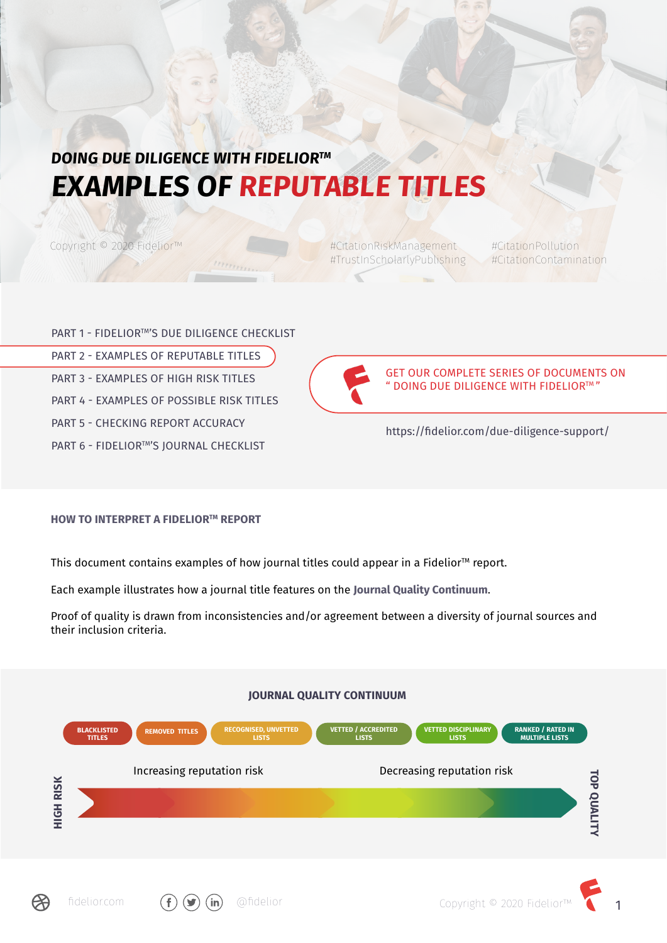# **DOING DUE DILIGENCE WITH FIDELIOR™ EXAMPLES OF REPUTABLE TITLES**

**HITTING** 

Copyright © 2020 Fidelior™

#CitationRiskManagement #CitationPollution #TrustInScholarlyPublishing #CitationContamination

PART 1 - FIDELIOR™'S DUE DILIGENCE CHECKLIST PART 2 - EXAMPLES OF REPUTABLE TITLES PART 3 - EXAMPLES OF HIGH RISK TITLES PART 4 - EXAMPLES OF POSSIBLE RISK TITLES PART 5 - CHECKING REPORT ACCURACY PART 6 - FIDELIOR™'S JOURNAL CHECKLIST



GET OUR COMPLETE SERIES OF DOCUMENTS ON " DOING DUE DILIGENCE WITH FIDELIORTM "

https://fidelior.com/due-diligence-support/

### **HOW TO INTERPRET A FIDELIOR™ REPORT**

This document contains examples of how journal titles could appear in a Fidelior<sup>™</sup> report.

Each example illustrates how a journal title features on the **Journal Quality Continuum**.

Proof of quality is drawn from inconsistencies and/or agreement between a diversity of journal sources and their inclusion criteria.



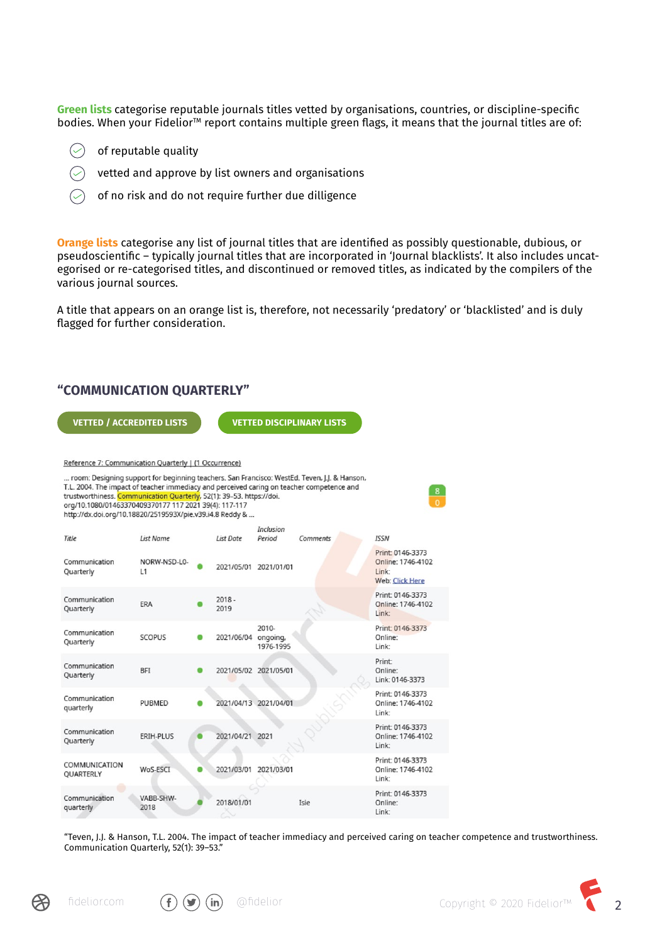**Green lists** categorise reputable journals titles vetted by organisations, countries, or discipline-specific bodies. When your Fidelior<sup>™</sup> report contains multiple green flags, it means that the journal titles are of:

- of reputable quality
- vetted and approve by list owners and organisations
- of no risk and do not require further due dilligence

**Orange lists** categorise any list of journal titles that are identified as possibly questionable, dubious, or pseudoscientific – typically journal titles that are incorporated in 'Journal blacklists'. It also includes uncategorised or re-categorised titles, and discontinued or removed titles, as indicated by the compilers of the various journal sources.

A title that appears on an orange list is, therefore, not necessarily 'predatory' or 'blacklisted' and is duly flagged for further consideration.

### **"COMMUNICATION QUARTERLY"**

| <b>VETTED / ACCREDITED LISTS</b>                                                                                                                                                                                                                                                                                                                                                       |                    |                     |                       | <b>VETTED DISCIPLINARY LISTS</b> |                                                                          |  |  |
|----------------------------------------------------------------------------------------------------------------------------------------------------------------------------------------------------------------------------------------------------------------------------------------------------------------------------------------------------------------------------------------|--------------------|---------------------|-----------------------|----------------------------------|--------------------------------------------------------------------------|--|--|
|                                                                                                                                                                                                                                                                                                                                                                                        |                    |                     |                       |                                  |                                                                          |  |  |
| Reference 7: Communication Quarterly   (1 Occurrence)                                                                                                                                                                                                                                                                                                                                  |                    |                     |                       |                                  |                                                                          |  |  |
| room: Designing support for beginning teachers. San Francisco: WestEd. Teven, J.J. & Hanson,<br>T.L. 2004. The impact of teacher immediacy and perceived caring on teacher competence and<br>trustworthiness. Communication Quarterly, 52(1): 39-53. https://doi.<br>org/10.1080/01463370409370177 117 2021 39(4): 117-117<br>http://dx.doi.org/10.18820/2519593X/pie.v39.i4.8 Reddy & |                    |                     |                       |                                  |                                                                          |  |  |
| Title                                                                                                                                                                                                                                                                                                                                                                                  | List Name          | List Date           | Inclusion<br>Period   | Comments                         | <b>ISSN</b>                                                              |  |  |
| Communication<br>Quarterly                                                                                                                                                                                                                                                                                                                                                             | NORW-NSD-L0-<br>L1 |                     | 2021/05/01 2021/01/01 |                                  | Print: 0146-3373<br>Online: 1746-4102<br>Link:<br><b>Web: Click Here</b> |  |  |
| Communication<br>Quarterly                                                                                                                                                                                                                                                                                                                                                             | <b>ERA</b>         | $2018 -$<br>2019    |                       |                                  | Print: 0146-3373<br>Online: 1746-4102<br>Link:                           |  |  |
| Communication<br>Quarterly                                                                                                                                                                                                                                                                                                                                                             | <b>SCOPUS</b>      | 2021/06/04 ongoing, | 2010-<br>1976-1995    |                                  | Print: 0146-3373<br>Online:<br>Link:                                     |  |  |
| Communication<br>Quarterly                                                                                                                                                                                                                                                                                                                                                             | <b>BFI</b>         |                     | 2021/05/02 2021/05/01 |                                  | Print:<br>Online:<br>Link: 0146-3373                                     |  |  |
| Communication<br>quarterly                                                                                                                                                                                                                                                                                                                                                             | <b>PUBMED</b>      |                     | 2021/04/13 2021/04/01 |                                  | Print: 0146-3373<br>Online: 1746-4102<br>Link:                           |  |  |
| Communication<br>Quarterly                                                                                                                                                                                                                                                                                                                                                             | ERIH-PLUS          | 2021/04/21 2021     |                       |                                  | Print: 0146-3373<br>Online: 1746-4102<br>Link:                           |  |  |
| COMMUNICATION<br>QUARTERLY                                                                                                                                                                                                                                                                                                                                                             | WoS-ESCT           |                     | 2021/03/01 2021/03/01 |                                  | Print: 0146-3373<br>Online: 1746-4102<br>Link:                           |  |  |
| Communication<br>quarterly                                                                                                                                                                                                                                                                                                                                                             | VABB-SHW-<br>2018  | 2018/01/01          |                       | Isie                             | Print: 0146-3373<br>Online:<br>Link:                                     |  |  |

"Teven, J.J. & Hanson, T.L. 2004. The impact of teacher immediacy and perceived caring on teacher competence and trustworthiness. Communication Quarterly, 52(1): 39–53."





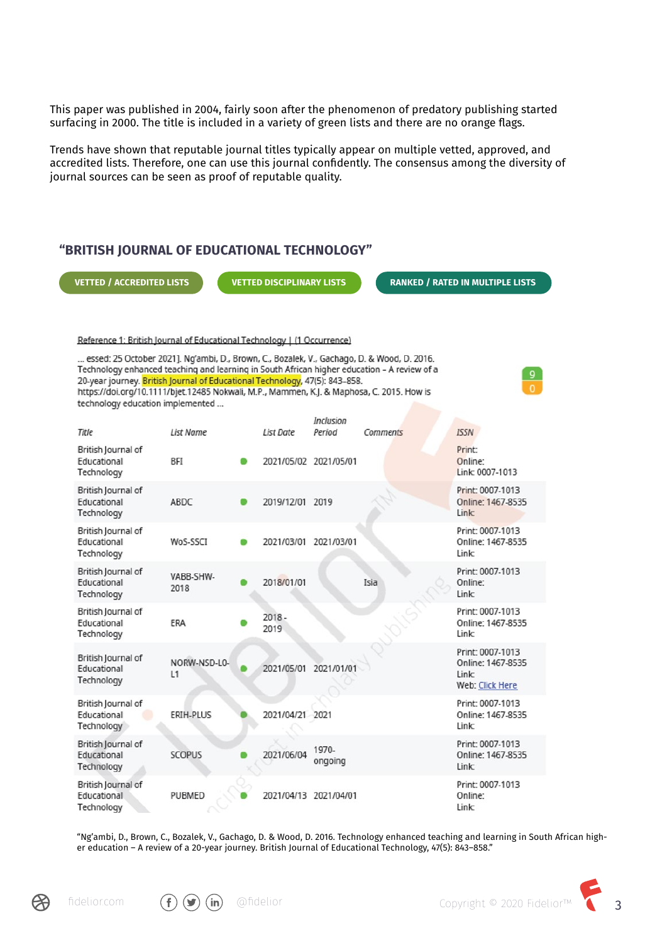This paper was published in 2004, fairly soon after the phenomenon of predatory publishing started surfacing in 2000. The title is included in a variety of green lists and there are no orange flags.

Trends have shown that reputable journal titles typically appear on multiple vetted, approved, and accredited lists. Therefore, one can use this journal confidently. The consensus among the diversity of journal sources can be seen as proof of reputable quality.

# **"BRITISH JOURNAL OF EDUCATIONAL TECHNOLOGY"**

**VETTED / ACCREDITED LISTS VETTED DISCIPLINARY LISTS RANKED / RATED IN MULTIPLE LISTS**

Reference 1: British Journal of Educational Technology | (1 Occurrence)

... essed: 25 October 2021]. Ng'ambi, D., Brown, C., Bozalek, V., Gachago, D. & Wood, D. 2016. Technology enhanced teaching and learning in South African higher education - A review of a 20-year journey. British Journal of Educational Technology, 47(5): 843-858. https://doi.org/10.1111/bjet.12485 Nokwali, M.P., Mammen, K.J. & Maphosa, C. 2015. How is technology education implemented ...

| Title                                                  | <b>List Name</b>   | <b>List Date</b> | <b>Inclusion</b><br>Period | Comments | <b>ISSN</b>                                                              |
|--------------------------------------------------------|--------------------|------------------|----------------------------|----------|--------------------------------------------------------------------------|
| British Journal of<br>Educational<br>Technology        | <b>BFI</b>         |                  | 2021/05/02 2021/05/01      |          | Print <sup>-</sup><br>Online:<br>Link: 0007-1013                         |
| British Journal of<br>Educational<br>Technology        | ABDC               | 2019/12/01 2019  |                            |          | Print: 0007-1013<br>Online: 1467-8535<br>Link:                           |
| British Journal of<br>Educational<br>Technology        | WoS-SSCT           | 2021/03/01       | 2021/03/01                 |          | Print: 0007-1013<br>Online: 1467-8535<br>Link:                           |
| British Journal of<br><b>Educational</b><br>Technology | VABB-SHW-<br>2018  | 2018/01/01       |                            | Isia     | Print: 0007-1013<br>Online:<br>Link:                                     |
| British Journal of<br>Educational<br>Technology        | ERA                | $2018 -$<br>2019 |                            |          | Print: 0007-1013<br>Online: 1467-8535<br>Link:                           |
| British Journal of<br>Educational<br>Technology        | NORW-NSD-L0-<br>L1 | 2021/05/01       | 2021/01/01                 |          | Print: 0007-1013<br>Online: 1467-8535<br>Link:<br><b>Web: Click Here</b> |
| British Journal of<br>Educational<br>Technology        | ERIH-PLUS          | 2021/04/21 2021  |                            |          | Print: 0007-1013<br>Online: 1467-8535<br>Link <sup>-</sup>               |
| British Journal of<br>Educational<br>Technology        | <b>SCOPUS</b>      | 2021/06/04       | 1970-<br>ongoing           |          | Print: 0007-1013<br>Online: 1467-8535<br>Link:                           |
| British Journal of<br>Educational<br>Technology        | <b>PUBMED</b>      |                  | 2021/04/13 2021/04/01      |          | Print: 0007-1013<br>Online:<br>Link:                                     |

"Ng'ambi, D., Brown, C., Bozalek, V., Gachago, D. & Wood, D. 2016. Technology enhanced teaching and learning in South African higher education – A review of a 20-year journey. British Journal of Educational Technology, 47(5): 843–858."





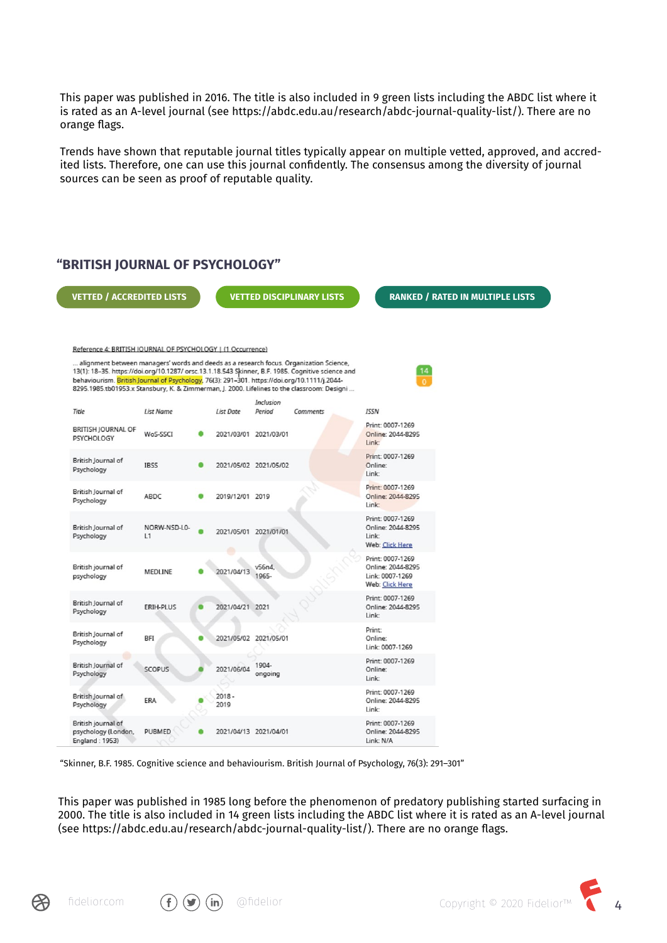This paper was published in 2016. The title is also included in 9 green lists including the ABDC list where it is rated as an A-level journal (see https://abdc.edu.au/research/abdc-journal-quality-list/). There are no orange flags.

Trends have shown that reputable journal titles typically appear on multiple vetted, approved, and accredited lists. Therefore, one can use this journal confidently. The consensus among the diversity of journal sources can be seen as proof of reputable quality.



"Skinner, B.F. 1985. Cognitive science and behaviourism. British Journal of Psychology, 76(3): 291–301"

This paper was published in 1985 long before the phenomenon of predatory publishing started surfacing in 2000. The title is also included in 14 green lists including the ABDC list where it is rated as an A-level journal (see https://abdc.edu.au/research/abdc-journal-quality-list/). There are no orange flags.







 $\text{f}$  [fidelior.com](https://fidelior.com/)  $\text{(f)}$   $\text{(ii)}$  @fidelior Copyright © 2020 Fidelior™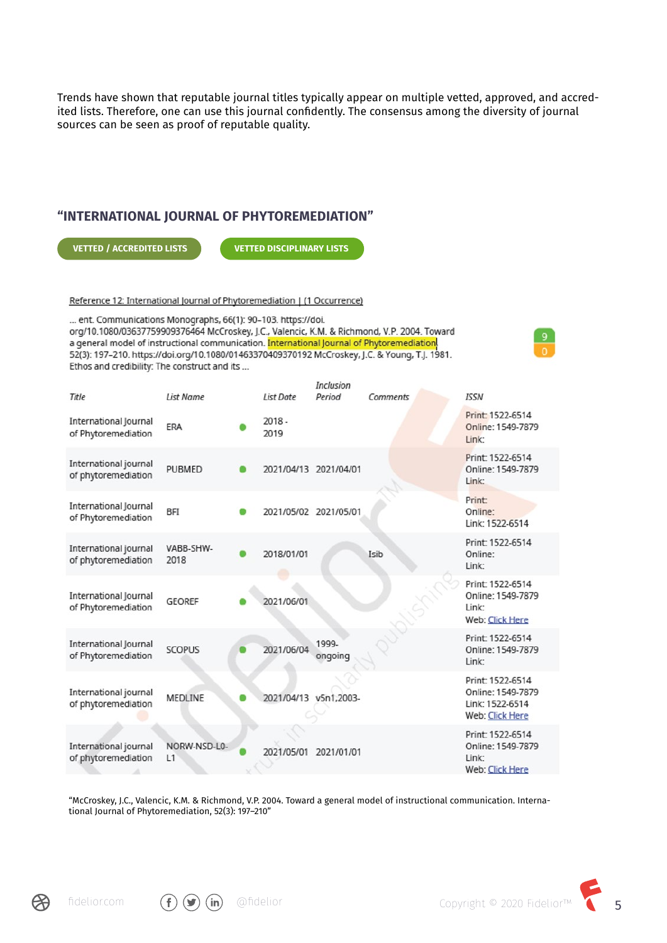Trends have shown that reputable journal titles typically appear on multiple vetted, approved, and accredited lists. Therefore, one can use this journal confidently. The consensus among the diversity of journal sources can be seen as proof of reputable quality.

#### **"INTERNATIONAL JOURNAL OF PHYTOREMEDIATION"**

**VETTED / ACCREDITED LISTS**

**VETTED DISCIPLINARY LISTS**

Reference 12: International Journal of Phytoremediation | (1 Occurrence)

... ent. Communications Monographs, 66(1): 90-103. https://doi. org/10.1080/03637759909376464 McCroskey, J.C., Valencic, K.M. & Richmond, V.P. 2004. Toward a general model of instructional communication. International Journal of Phytoremediation 52(3): 197-210. https://doi.org/10.1080/01463370409370192 McCroskey, J.C. & Young, T.J. 1981. Ethos and credibility: The construct and its ...

|                                              |                    |                       | Inclusion        |          |                                                                             |
|----------------------------------------------|--------------------|-----------------------|------------------|----------|-----------------------------------------------------------------------------|
| Title                                        | List Name          | <b>List Date</b>      | Period           | Comments | <b>ISSN</b>                                                                 |
| International Journal<br>of Phytoremediation | ERA                | $2018 -$<br>2019      |                  |          | Print: 1522-6514<br>Online: 1549-7879<br>Link:                              |
| International journal<br>of phytoremediation | <b>PUBMED</b>      | 2021/04/13 2021/04/01 |                  |          | Print: 1522-6514<br>Online: 1549-7879<br>Link:                              |
| International Journal<br>of Phytoremediation | <b>BFI</b>         | 2021/05/02 2021/05/01 |                  |          | Print:<br>Online:<br>Link: 1522-6514                                        |
| International journal<br>of phytoremediation | VABB-SHW-<br>2018  | 2018/01/01            |                  | Isib     | Print: 1522-6514<br>Online:<br>Link:                                        |
| International Journal<br>of Phytoremediation | <b>GEOREF</b>      | 2021/06/01            |                  |          | Print: 1522-6514<br>Online: 1549-7879<br>Link:<br><b>Web: Click Here</b>    |
| International Journal<br>of Phytoremediation | <b>SCOPUS</b>      | 2021/06/04            | 1999-<br>ongoing |          | Print: 1522-6514<br>Online: 1549-7879<br>Link:                              |
| International journal<br>of phytoremediation | <b>MEDLINE</b>     | 2021/04/13 v5n1,2003- |                  |          | Print: 1522-6514<br>Online: 1549-7879<br>Link: 1522-6514<br>Web: Click Here |
| International journal<br>of phytoremediation | NORW-NSD-L0-<br>L1 | 2021/05/01            | 2021/01/01       |          | Print: 1522-6514<br>Online: 1549-7879<br>Link:<br>Web: Click Here           |

"McCroskey, J.C., Valencic, K.M. & Richmond, V.P. 2004. Toward a general model of instructional communication. International Journal of Phytoremediation, 52(3): 197–210"